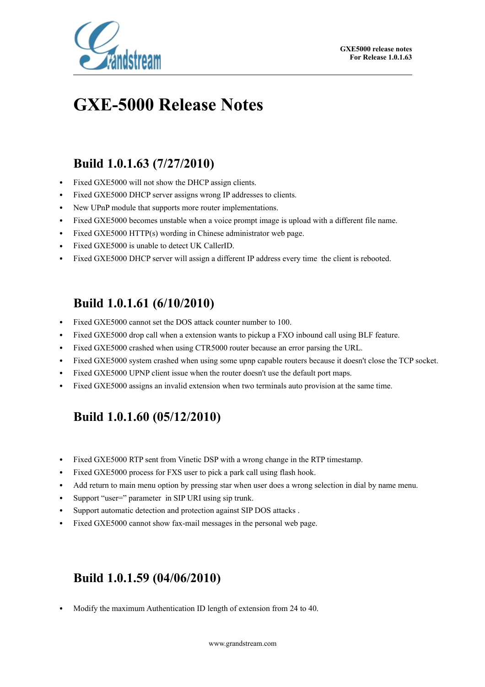

# **GXE-5000 Release Notes**

# **Build 1.0.1.63 (7/27/2010)**

- Fixed GXE5000 will not show the DHCP assign clients.
- Fixed GXE5000 DHCP server assigns wrong IP addresses to clients.
- New UPnP module that supports more router implementations.
- Fixed GXE5000 becomes unstable when a voice prompt image is upload with a different file name.
- Fixed GXE5000 HTTP(s) wording in Chinese administrator web page.
- Fixed GXE5000 is unable to detect UK CallerID.
- Fixed GXE5000 DHCP server will assign a different IP address every time the client is rebooted.

### **Build 1.0.1.61 (6/10/2010)**

- Fixed GXE5000 cannot set the DOS attack counter number to 100.
- Fixed GXE5000 drop call when a extension wants to pickup a FXO inbound call using BLF feature.
- Fixed GXE5000 crashed when using CTR5000 router because an error parsing the URL.
- Fixed GXE5000 system crashed when using some upnp capable routers because it doesn't close the TCP socket.
- Fixed GXE5000 UPNP client issue when the router doesn't use the default port maps.
- Fixed GXE5000 assigns an invalid extension when two terminals auto provision at the same time.

# **Build 1.0.1.60 (05/12/2010)**

- Fixed GXE5000 RTP sent from Vinetic DSP with a wrong change in the RTP timestamp.
- Fixed GXE5000 process for FXS user to pick a park call using flash hook.
- Add return to main menu option by pressing star when user does a wrong selection in dial by name menu.
- Support "user=" parameter in SIP URI using sip trunk.
- Support automatic detection and protection against SIP DOS attacks .
- Fixed GXE5000 cannot show fax-mail messages in the personal web page.

### **Build 1.0.1.59 (04/06/2010)**

• Modify the maximum Authentication ID length of extension from 24 to 40.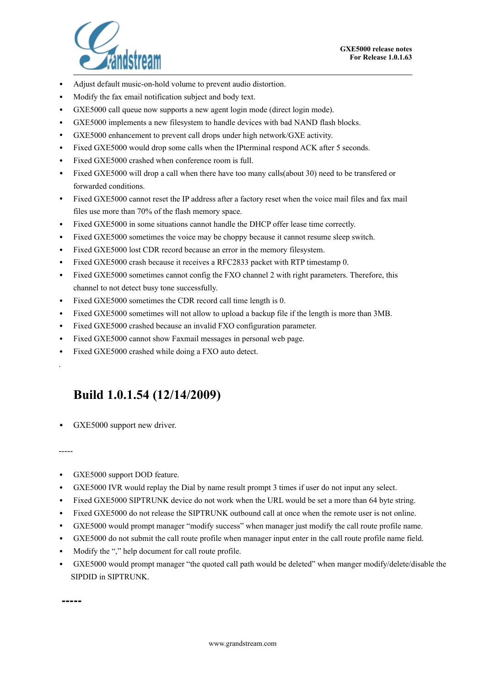

- Adjust default music-on-hold volume to prevent audio distortion.
- Modify the fax email notification subject and body text.
- GXE5000 call queue now supports a new agent login mode (direct login mode).
- GXE5000 implements a new filesystem to handle devices with bad NAND flash blocks.
- GXE5000 enhancement to prevent call drops under high network/GXE activity.
- Fixed GXE5000 would drop some calls when the IPterminal respond ACK after 5 seconds.
- Fixed GXE5000 crashed when conference room is full.
- Fixed GXE5000 will drop a call when there have too many calls(about 30) need to be transfered or forwarded conditions.
- Fixed GXE5000 cannot reset the IP address after a factory reset when the voice mail files and fax mail files use more than 70% of the flash memory space.
- Fixed GXE5000 in some situations cannot handle the DHCP offer lease time correctly.
- Fixed GXE5000 sometimes the voice may be choppy because it cannot resume sleep switch.
- Fixed GXE5000 lost CDR record because an error in the memory filesystem.
- Fixed GXE5000 crash because it receives a RFC2833 packet with RTP timestamp 0.
- Fixed GXE5000 sometimes cannot config the FXO channel 2 with right parameters. Therefore, this channel to not detect busy tone successfully.
- Fixed GXE5000 sometimes the CDR record call time length is 0.
- Fixed GXE5000 sometimes will not allow to upload a backup file if the length is more than 3MB.
- Fixed GXE5000 crashed because an invalid FXO configuration parameter.
- Fixed GXE5000 cannot show Faxmail messages in personal web page.
- Fixed GXE5000 crashed while doing a FXO auto detect.

#### **Build 1.0.1.54 (12/14/2009)**

GXE5000 support new driver.

-----

.

- GXE5000 support DOD feature.
- GXE5000 IVR would replay the Dial by name result prompt 3 times if user do not input any select.
- Fixed GXE5000 SIPTRUNK device do not work when the URL would be set a more than 64 byte string.
- Fixed GXE5000 do not release the SIPTRUNK outbound call at once when the remote user is not online.
- GXE5000 would prompt manager "modify success" when manager just modify the call route profile name.
- GXE5000 do not submit the call route profile when manager input enter in the call route profile name field.
- Modify the "," help document for call route profile.
- GXE5000 would prompt manager "the quoted call path would be deleted" when manger modify/delete/disable the SIPDID in SIPTRUNK.

**-----**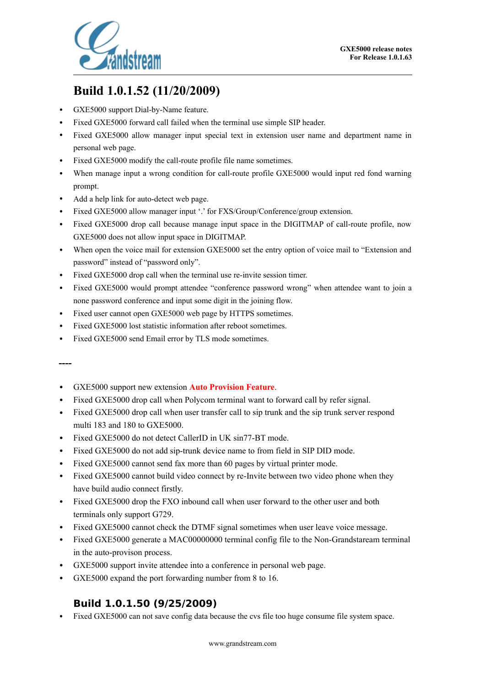

# **Build 1.0.1.52 (11/20/2009)**

- GXE5000 support Dial-by-Name feature.
- Fixed GXE5000 forward call failed when the terminal use simple SIP header.
- Fixed GXE5000 allow manager input special text in extension user name and department name in personal web page.
- Fixed GXE5000 modify the call-route profile file name sometimes.
- When manage input a wrong condition for call-route profile GXE5000 would input red fond warning prompt.
- Add a help link for auto-detect web page.
- Fixed GXE5000 allow manager input '.' for FXS/Group/Conference/group extension.
- Fixed GXE5000 drop call because manage input space in the DIGITMAP of call-route profile, now GXE5000 does not allow input space in DIGITMAP.
- When open the voice mail for extension GXE5000 set the entry option of voice mail to "Extension and password" instead of "password only".
- Fixed GXE5000 drop call when the terminal use re-invite session timer.
- Fixed GXE5000 would prompt attendee "conference password wrong" when attendee want to join a none password conference and input some digit in the joining flow.
- Fixed user cannot open GXE5000 web page by HTTPS sometimes.
- Fixed GXE5000 lost statistic information after reboot sometimes.
- Fixed GXE5000 send Email error by TLS mode sometimes.

**----**

- GXE5000 support new extension **Auto Provision Feature**.
- Fixed GXE5000 drop call when Polycom terminal want to forward call by refer signal.
- Fixed GXE5000 drop call when user transfer call to sip trunk and the sip trunk server respond multi 183 and 180 to GXE5000.
- Fixed GXE5000 do not detect CallerID in UK sin77-BT mode.
- Fixed GXE5000 do not add sip-trunk device name to from field in SIP DID mode.
- Fixed GXE5000 cannot send fax more than 60 pages by virtual printer mode.
- Fixed GXE5000 cannot build video connect by re-Invite between two video phone when they have build audio connect firstly.
- Fixed GXE5000 drop the FXO inbound call when user forward to the other user and both terminals only support G729.
- Fixed GXE5000 cannot check the DTMF signal sometimes when user leave voice message.
- Fixed GXE5000 generate a MAC00000000 terminal config file to the Non-Grandstaream terminal in the auto-provison process.
- GXE5000 support invite attendee into a conference in personal web page.
- GXE5000 expand the port forwarding number from 8 to 16.

#### **Build 1.0.1.50 (9/25/2009)**

• Fixed GXE5000 can not save config data because the cvs file too huge consume file system space.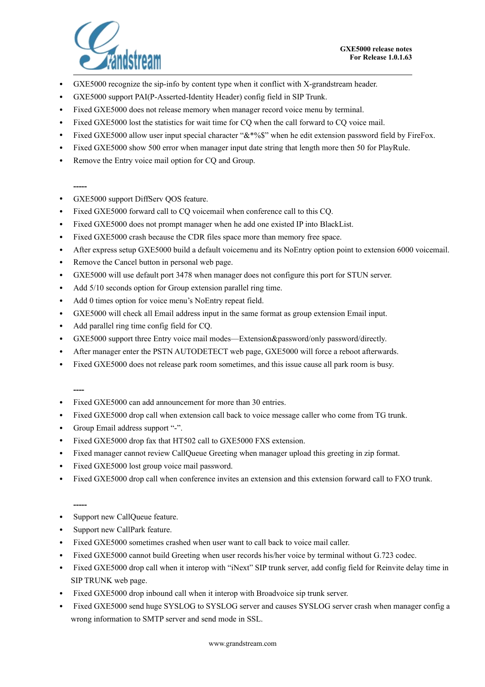

- GXE5000 recognize the sip-info by content type when it conflict with X-grandstream header.
- GXE5000 support PAI(P-Asserted-Identity Header) config field in SIP Trunk.
- Fixed GXE5000 does not release memory when manager record voice menu by terminal.
- Fixed GXE5000 lost the statistics for wait time for CQ when the call forward to CQ voice mail.
- Fixed GXE5000 allow user input special character " $\&\frac{*}{\&\frac{*}{\&\frac{*}{\&\frac{*}{\&\frac{*}{\&\frac{*}{\&\frac{*}{\&\frac{*}{\&\frac{*}{\&\frac{*}{\&\frac{*}{\&\frac{*}{\&\frac{*}{\&\frac{*}{\&\frac{*}{\&\frac{*}{\&\frac{*}{\&\frac{*}{\&\frac{*}{\&\frac{*}{\&\frac{*}{\&\frac{*}{\&\frac{*}{\&\frac{*}{$
- Fixed GXE5000 show 500 error when manager input date string that length more then 50 for PlayRule.
- Remove the Entry voice mail option for CO and Group.

#### **-----**

- GXE5000 support DiffServ QOS feature.
- Fixed GXE5000 forward call to CQ voicemail when conference call to this CQ.
- Fixed GXE5000 does not prompt manager when he add one existed IP into BlackList.
- Fixed GXE5000 crash because the CDR files space more than memory free space.
- After express setup GXE5000 build a default voicemenu and its NoEntry option point to extension 6000 voicemail.
- Remove the Cancel button in personal web page.
- GXE5000 will use default port 3478 when manager does not configure this port for STUN server.
- Add  $5/10$  seconds option for Group extension parallel ring time.
- Add 0 times option for voice menu's NoEntry repeat field.
- GXE5000 will check all Email address input in the same format as group extension Email input.
- Add parallel ring time config field for CQ.
- GXE5000 support three Entry voice mail modes—Extension&password/only password/directly.
- After manager enter the PSTN AUTODETECT web page, GXE5000 will force a reboot afterwards.
- Fixed GXE5000 does not release park room sometimes, and this issue cause all park room is busy.

**----**

- Fixed GXE5000 can add announcement for more than 30 entries.
- Fixed GXE5000 drop call when extension call back to voice message caller who come from TG trunk.
- Group Email address support "-".
- Fixed GXE5000 drop fax that HT502 call to GXE5000 FXS extension.
- Fixed manager cannot review CallQueue Greeting when manager upload this greeting in zip format.
- Fixed GXE5000 lost group voice mail password.
- Fixed GXE5000 drop call when conference invites an extension and this extension forward call to FXO trunk.

**-----**

- Support new CallQueue feature.
- Support new CallPark feature.
- Fixed GXE5000 sometimes crashed when user want to call back to voice mail caller.
- Fixed GXE5000 cannot build Greeting when user records his/her voice by terminal without G.723 codec.
- Fixed GXE5000 drop call when it interop with "iNext" SIP trunk server, add config field for Reinvite delay time in SIP TRUNK web page.
- Fixed GXE5000 drop inbound call when it interop with Broadvoice sip trunk server.
- Fixed GXE5000 send huge SYSLOG to SYSLOG server and causes SYSLOG server crash when manager config a wrong information to SMTP server and send mode in SSL.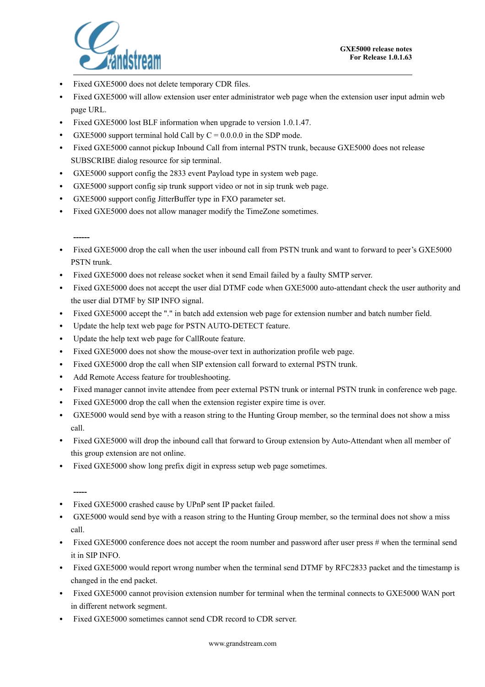

- Fixed GXE5000 does not delete temporary CDR files.
- Fixed GXE5000 will allow extension user enter administrator web page when the extension user input admin web page URL.
- Fixed GXE5000 lost BLF information when upgrade to version 1.0.1.47.
- GXE5000 support terminal hold Call by  $C = 0.0.0$  in the SDP mode.
- Fixed GXE5000 cannot pickup Inbound Call from internal PSTN trunk, because GXE5000 does not release SUBSCRIBE dialog resource for sip terminal.
- GXE5000 support config the 2833 event Payload type in system web page.
- GXE5000 support config sip trunk support video or not in sip trunk web page.
- GXE5000 support config JitterBuffer type in FXO parameter set.
- Fixed GXE5000 does not allow manager modify the TimeZone sometimes.

**------**

- Fixed GXE5000 drop the call when the user inbound call from PSTN trunk and want to forward to peer's GXE5000 PSTN trunk.
- Fixed GXE5000 does not release socket when it send Email failed by a faulty SMTP server.
- Fixed GXE5000 does not accept the user dial DTMF code when GXE5000 auto-attendant check the user authority and the user dial DTMF by SIP INFO signal.
- Fixed GXE5000 accept the "." in batch add extension web page for extension number and batch number field.
- Update the help text web page for PSTN AUTO-DETECT feature.
- Update the help text web page for CallRoute feature.
- Fixed GXE5000 does not show the mouse-over text in authorization profile web page.
- Fixed GXE5000 drop the call when SIP extension call forward to external PSTN trunk.
- Add Remote Access feature for troubleshooting.
- Fixed manager cannot invite attendee from peer external PSTN trunk or internal PSTN trunk in conference web page.
- Fixed GXE5000 drop the call when the extension register expire time is over.
- GXE5000 would send bye with a reason string to the Hunting Group member, so the terminal does not show a miss call.
- Fixed GXE5000 will drop the inbound call that forward to Group extension by Auto-Attendant when all member of this group extension are not online.
- Fixed GXE5000 show long prefix digit in express setup web page sometimes.

- Fixed GXE5000 crashed cause by UPnP sent IP packet failed.
- GXE5000 would send bye with a reason string to the Hunting Group member, so the terminal does not show a miss call.
- Fixed GXE5000 conference does not accept the room number and password after user press  $\#$  when the terminal send it in SIP INFO.
- Fixed GXE5000 would report wrong number when the terminal send DTMF by RFC2833 packet and the timestamp is changed in the end packet.
- Fixed GXE5000 cannot provision extension number for terminal when the terminal connects to GXE5000 WAN port in different network segment.
- Fixed GXE5000 sometimes cannot send CDR record to CDR server.

**<sup>-----</sup>**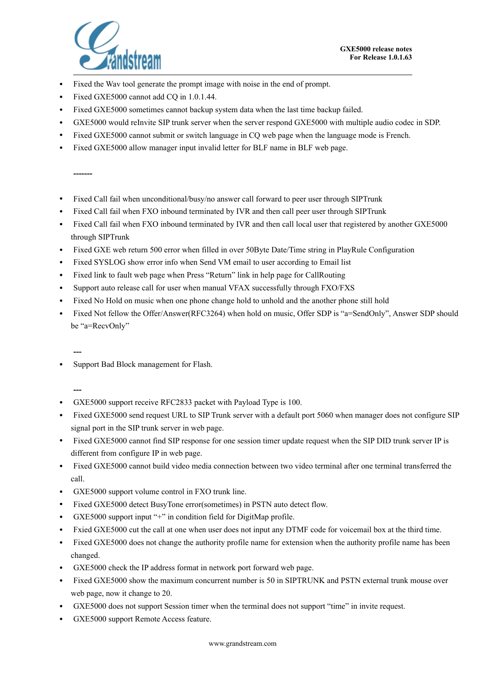

- Fixed the Wav tool generate the prompt image with noise in the end of prompt.
- Fixed GXE5000 cannot add CO in 1.0.1.44.
- Fixed GXE5000 sometimes cannot backup system data when the last time backup failed.
- GXE5000 would reInvite SIP trunk server when the server respond GXE5000 with multiple audio codec in SDP.
- Fixed GXE5000 cannot submit or switch language in CQ web page when the language mode is French.
- Fixed GXE5000 allow manager input invalid letter for BLF name in BLF web page.

**-------**

- Fixed Call fail when unconditional/busy/no answer call forward to peer user through SIPTrunk
- Fixed Call fail when FXO inbound terminated by IVR and then call peer user through SIPTrunk
- Fixed Call fail when FXO inbound terminated by IVR and then call local user that registered by another GXE5000 through SIPTrunk
- Fixed GXE web return 500 error when filled in over 50Byte Date/Time string in PlayRule Configuration
- Fixed SYSLOG show error info when Send VM email to user according to Email list
- Fixed link to fault web page when Press "Return" link in help page for CallRouting
- Support auto release call for user when manual VFAX successfully through FXO/FXS
- Fixed No Hold on music when one phone change hold to unhold and the another phone still hold
- Fixed Not fellow the Offer/Answer(RFC3264) when hold on music, Offer SDP is "a=SendOnly", Answer SDP should be "a=RecvOnly"

**---**

• Support Bad Block management for Flash.

- GXE5000 support receive RFC2833 packet with Payload Type is 100.
- Fixed GXE5000 send request URL to SIP Trunk server with a default port 5060 when manager does not configure SIP signal port in the SIP trunk server in web page.
- Fixed GXE5000 cannot find SIP response for one session timer update request when the SIP DID trunk server IP is different from configure IP in web page.
- Fixed GXE5000 cannot build video media connection between two video terminal after one terminal transferred the call.
- GXE5000 support volume control in FXO trunk line.
- Fixed GXE5000 detect BusyTone error(sometimes) in PSTN auto detect flow.
- GXE5000 support input "+" in condition field for DigitMap profile.
- Fxied GXE5000 cut the call at one when user does not input any DTMF code for voicemail box at the third time.
- Fixed GXE5000 does not change the authority profile name for extension when the authority profile name has been changed.
- GXE5000 check the IP address format in network port forward web page.
- Fixed GXE5000 show the maximum concurrent number is 50 in SIPTRUNK and PSTN external trunk mouse over web page, now it change to 20.
- GXE5000 does not support Session timer when the terminal does not support "time" in invite request.
- GXE5000 support Remote Access feature.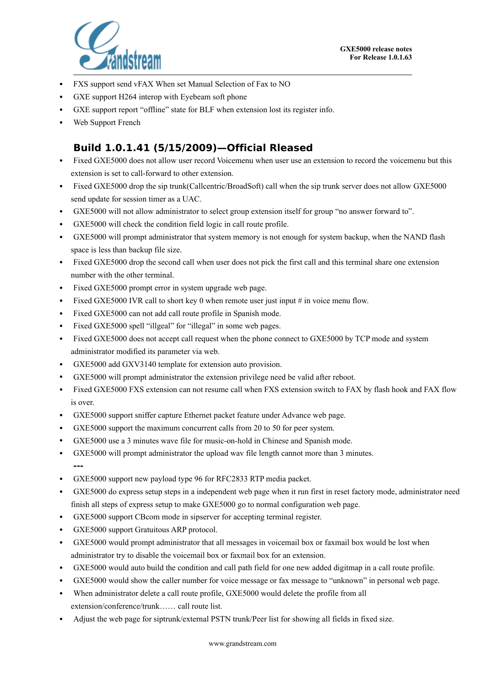

- FXS support send vFAX When set Manual Selection of Fax to NO
- GXE support H264 interop with Eyebeam soft phone
- GXE support report "offline" state for BLF when extension lost its register info.
- Web Support French

#### **Build 1.0.1.41 (5/15/2009)—Official Rleased**

- Fixed GXE5000 does not allow user record Voicemenu when user use an extension to record the voicemenu but this extension is set to call-forward to other extension.
- Fixed GXE5000 drop the sip trunk(Callcentric/BroadSoft) call when the sip trunk server does not allow GXE5000 send update for session timer as a UAC.
- GXE5000 will not allow administrator to select group extension itself for group "no answer forward to".
- GXE5000 will check the condition field logic in call route profile.
- GXE5000 will prompt administrator that system memory is not enough for system backup, when the NAND flash space is less than backup file size.
- Fixed GXE5000 drop the second call when user does not pick the first call and this terminal share one extension number with the other terminal.
- Fixed GXE5000 prompt error in system upgrade web page.
- Fixed GXE5000 IVR call to short key 0 when remote user just input # in voice menu flow.
- Fixed GXE5000 can not add call route profile in Spanish mode.
- Fixed GXE5000 spell "illgeal" for "illegal" in some web pages.
- Fixed GXE5000 does not accept call request when the phone connect to GXE5000 by TCP mode and system administrator modified its parameter via web.
- GXE5000 add GXV3140 template for extension auto provision.
- GXE5000 will prompt administrator the extension privilege need be valid after reboot.
- Fixed GXE5000 FXS extension can not resume call when FXS extension switch to FAX by flash hook and FAX flow is over.
- GXE5000 support sniffer capture Ethernet packet feature under Advance web page.
- GXE5000 support the maximum concurrent calls from 20 to 50 for peer system.
- GXE5000 use a 3 minutes wave file for music-on-hold in Chinese and Spanish mode.
- GXE5000 will prompt administrator the upload wav file length cannot more than 3 minutes. **---**
- GXE5000 support new payload type 96 for RFC2833 RTP media packet.
- GXE5000 do express setup steps in a independent web page when it run first in reset factory mode, administrator need finish all steps of express setup to make GXE5000 go to normal configuration web page.
- GXE5000 support CBcom mode in sipserver for accepting terminal register.
- GXE5000 support Gratuitous ARP protocol.
- GXE5000 would prompt administrator that all messages in voicemail box or faxmail box would be lost when administrator try to disable the voicemail box or faxmail box for an extension.
- GXE5000 would auto build the condition and call path field for one new added digitmap in a call route profile.
- GXE5000 would show the caller number for voice message or fax message to "unknown" in personal web page.
- When administrator delete a call route profile, GXE5000 would delete the profile from all extension/conference/trunk…… call route list.
- Adjust the web page for siptrunk/external PSTN trunk/Peer list for showing all fields in fixed size.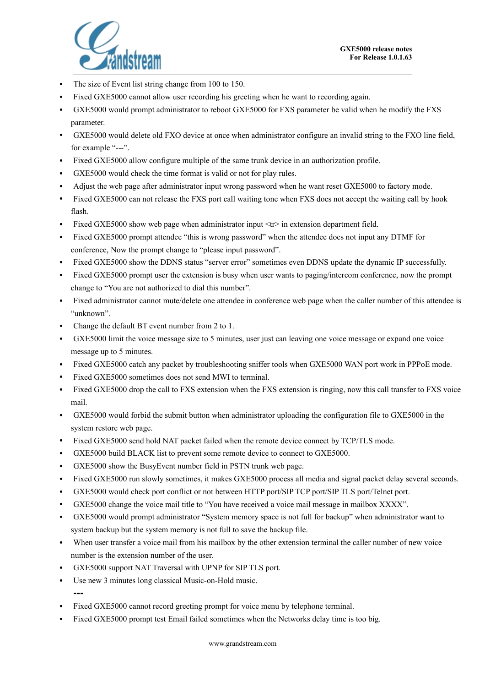

- The size of Event list string change from 100 to 150.
- Fixed GXE5000 cannot allow user recording his greeting when he want to recording again.
- GXE5000 would prompt administrator to reboot GXE5000 for FXS parameter be valid when he modify the FXS parameter.
- GXE5000 would delete old FXO device at once when administrator configure an invalid string to the FXO line field, for example "---".
- Fixed GXE5000 allow configure multiple of the same trunk device in an authorization profile.
- GXE5000 would check the time format is valid or not for play rules.
- Adjust the web page after administrator input wrong password when he want reset GXE5000 to factory mode.
- Fixed GXE5000 can not release the FXS port call waiting tone when FXS does not accept the waiting call by hook flash.
- Fixed GXE5000 show web page when administrator input  $\langle tr \rangle$  in extension department field.
- Fixed GXE5000 prompt attendee "this is wrong password" when the attendee does not input any DTMF for conference, Now the prompt change to "please input password".
- Fixed GXE5000 show the DDNS status "server error" sometimes even DDNS update the dynamic IP successfully.
- Fixed GXE5000 prompt user the extension is busy when user wants to paging/intercom conference, now the prompt change to "You are not authorized to dial this number".
- Fixed administrator cannot mute/delete one attendee in conference web page when the caller number of this attendee is "unknown".
- Change the default BT event number from 2 to 1.
- GXE5000 limit the voice message size to 5 minutes, user just can leaving one voice message or expand one voice message up to 5 minutes.
- Fixed GXE5000 catch any packet by troubleshooting sniffer tools when GXE5000 WAN port work in PPPoE mode.
- Fixed GXE5000 sometimes does not send MWI to terminal.
- Fixed GXE5000 drop the call to FXS extension when the FXS extension is ringing, now this call transfer to FXS voice mail.
- GXE5000 would forbid the submit button when administrator uploading the configuration file to GXE5000 in the system restore web page.
- Fixed GXE5000 send hold NAT packet failed when the remote device connect by TCP/TLS mode.
- GXE5000 build BLACK list to prevent some remote device to connect to GXE5000.
- GXE5000 show the BusyEvent number field in PSTN trunk web page.
- Fixed GXE5000 run slowly sometimes, it makes GXE5000 process all media and signal packet delay several seconds.
- GXE5000 would check port conflict or not between HTTP port/SIP TCP port/SIP TLS port/Telnet port.
- GXE5000 change the voice mail title to "You have received a voice mail message in mailbox XXXX".
- GXE5000 would prompt administrator "System memory space is not full for backup" when administrator want to system backup but the system memory is not full to save the backup file.
- When user transfer a voice mail from his mailbox by the other extension terminal the caller number of new voice number is the extension number of the user.
- GXE5000 support NAT Traversal with UPNP for SIP TLS port.
- Use new 3 minutes long classical Music-on-Hold music. **---**
- Fixed GXE5000 cannot record greeting prompt for voice menu by telephone terminal.
- Fixed GXE5000 prompt test Email failed sometimes when the Networks delay time is too big.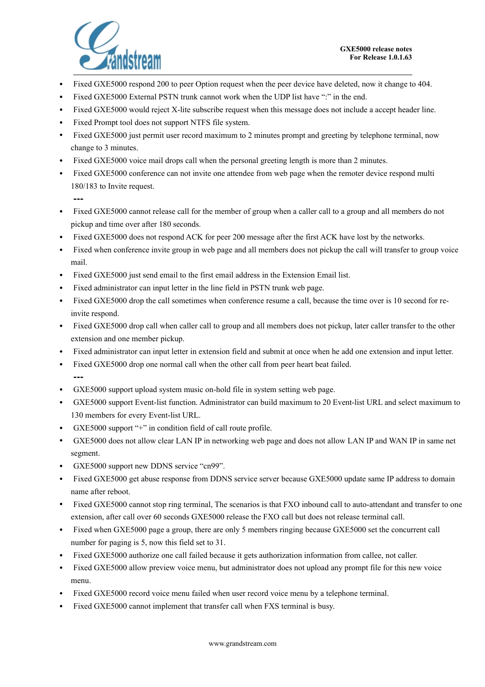

- Fixed GXE5000 respond 200 to peer Option request when the peer device have deleted, now it change to 404.
- Fixed GXE5000 External PSTN trunk cannot work when the UDP list have ":" in the end.
- Fixed GXE5000 would reject X-lite subscribe request when this message does not include a accept header line.
- Fixed Prompt tool does not support NTFS file system.
- Fixed GXE5000 just permit user record maximum to 2 minutes prompt and greeting by telephone terminal, now change to 3 minutes.
- Fixed GXE5000 voice mail drops call when the personal greeting length is more than 2 minutes.
- Fixed GXE5000 conference can not invite one attendee from web page when the remoter device respond multi 180/183 to Invite request.

- Fixed GXE5000 cannot release call for the member of group when a caller call to a group and all members do not pickup and time over after 180 seconds.
- Fixed GXE5000 does not respond ACK for peer 200 message after the first ACK have lost by the networks.
- Fixed when conference invite group in web page and all members does not pickup the call will transfer to group voice mail.
- Fixed GXE5000 just send email to the first email address in the Extension Email list.
- Fixed administrator can input letter in the line field in PSTN trunk web page.
- Fixed GXE5000 drop the call sometimes when conference resume a call, because the time over is 10 second for reinvite respond.
- Fixed GXE5000 drop call when caller call to group and all members does not pickup, later caller transfer to the other extension and one member pickup.
- Fixed administrator can input letter in extension field and submit at once when he add one extension and input letter.
- Fixed GXE5000 drop one normal call when the other call from peer heart beat failed. **---**
- GXE5000 support upload system music on-hold file in system setting web page.
- GXE5000 support Event-list function. Administrator can build maximum to 20 Event-list URL and select maximum to 130 members for every Event-list URL.
- GXE5000 support "+" in condition field of call route profile.
- GXE5000 does not allow clear LAN IP in networking web page and does not allow LAN IP and WAN IP in same net segment.
- GXE5000 support new DDNS service "cn99".
- Fixed GXE5000 get abuse response from DDNS service server because GXE5000 update same IP address to domain name after reboot.
- Fixed GXE5000 cannot stop ring terminal, The scenarios is that FXO inbound call to auto-attendant and transfer to one extension, after call over 60 seconds GXE5000 release the FXO call but does not release terminal call.
- Fixed when GXE5000 page a group, there are only 5 members ringing because GXE5000 set the concurrent call number for paging is 5, now this field set to 31.
- Fixed GXE5000 authorize one call failed because it gets authorization information from callee, not caller.
- Fixed GXE5000 allow preview voice menu, but administrator does not upload any prompt file for this new voice menu.
- Fixed GXE5000 record voice menu failed when user record voice menu by a telephone terminal.
- Fixed GXE5000 cannot implement that transfer call when FXS terminal is busy.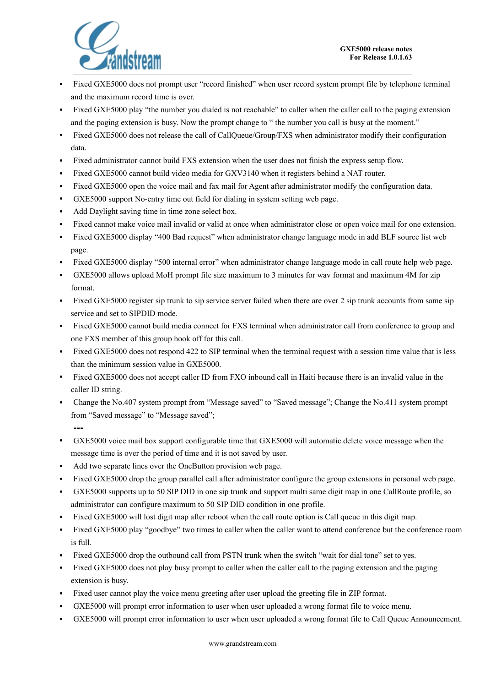

- Fixed GXE5000 does not prompt user "record finished" when user record system prompt file by telephone terminal and the maximum record time is over.
- Fixed GXE5000 play "the number you dialed is not reachable" to caller when the caller call to the paging extension and the paging extension is busy. Now the prompt change to " the number you call is busy at the moment."
- Fixed GXE5000 does not release the call of CallQueue/Group/FXS when administrator modify their configuration data.
- Fixed administrator cannot build FXS extension when the user does not finish the express setup flow.
- Fixed GXE5000 cannot build video media for GXV3140 when it registers behind a NAT router.
- Fixed GXE5000 open the voice mail and fax mail for Agent after administrator modify the configuration data.
- GXE5000 support No-entry time out field for dialing in system setting web page.
- Add Daylight saving time in time zone select box.
- Fixed cannot make voice mail invalid or valid at once when administrator close or open voice mail for one extension.
- Fixed GXE5000 display "400 Bad request" when administrator change language mode in add BLF source list web page.
- Fixed GXE5000 display "500 internal error" when administrator change language mode in call route help web page.
- GXE5000 allows upload MoH prompt file size maximum to 3 minutes for wav format and maximum 4M for zip format.
- Fixed GXE5000 register sip trunk to sip service server failed when there are over 2 sip trunk accounts from same sip service and set to SIPDID mode.
- Fixed GXE5000 cannot build media connect for FXS terminal when administrator call from conference to group and one FXS member of this group hook off for this call.
- Fixed GXE5000 does not respond 422 to SIP terminal when the terminal request with a session time value that is less than the minimum session value in GXE5000.
- Fixed GXE5000 does not accept caller ID from FXO inbound call in Haiti because there is an invalid value in the caller ID string.
- Change the No.407 system prompt from "Message saved" to "Saved message"; Change the No.411 system prompt from "Saved message" to "Message saved";
- GXE5000 voice mail box support configurable time that GXE5000 will automatic delete voice message when the message time is over the period of time and it is not saved by user.
- Add two separate lines over the OneButton provision web page.

- Fixed GXE5000 drop the group parallel call after administrator configure the group extensions in personal web page.
- GXE5000 supports up to 50 SIP DID in one sip trunk and support multi same digit map in one CallRoute profile, so administrator can configure maximum to 50 SIP DID condition in one profile.
- Fixed GXE5000 will lost digit map after reboot when the call route option is Call queue in this digit map.
- Fixed GXE5000 play "goodbye" two times to caller when the caller want to attend conference but the conference room is full.
- Fixed GXE5000 drop the outbound call from PSTN trunk when the switch "wait for dial tone" set to yes.
- Fixed GXE5000 does not play busy prompt to caller when the caller call to the paging extension and the paging extension is busy.
- Fixed user cannot play the voice menu greeting after user upload the greeting file in ZIP format.
- GXE5000 will prompt error information to user when user uploaded a wrong format file to voice menu.
- GXE5000 will prompt error information to user when user uploaded a wrong format file to Call Queue Announcement.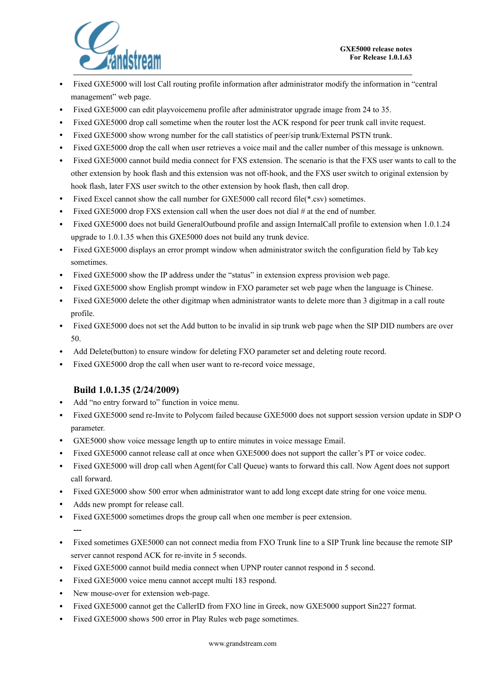

- Fixed GXE5000 will lost Call routing profile information after administrator modify the information in "central management" web page.
- Fixed GXE5000 can edit playvoicemenu profile after administrator upgrade image from 24 to 35.
- Fixed GXE5000 drop call sometime when the router lost the ACK respond for peer trunk call invite request.
- Fixed GXE5000 show wrong number for the call statistics of peer/sip trunk/External PSTN trunk.
- Fixed GXE5000 drop the call when user retrieves a voice mail and the caller number of this message is unknown.
- Fixed GXE5000 cannot build media connect for FXS extension. The scenario is that the FXS user wants to call to the other extension by hook flash and this extension was not off-hook, and the FXS user switch to original extension by hook flash, later FXS user switch to the other extension by hook flash, then call drop.
- Fixed Excel cannot show the call number for GXE5000 call record file(\*.csv) sometimes.
- Fixed GXE5000 drop FXS extension call when the user does not dial  $#$  at the end of number.
- Fixed GXE5000 does not build GeneralOutbound profile and assign InternalCall profile to extension when 1.0.1.24 upgrade to 1.0.1.35 when this GXE5000 does not build any trunk device.
- Fixed GXE5000 displays an error prompt window when administrator switch the configuration field by Tab key sometimes.
- Fixed GXE5000 show the IP address under the "status" in extension express provision web page.
- Fixed GXE5000 show English prompt window in FXO parameter set web page when the language is Chinese.
- Fixed GXE5000 delete the other digitmap when administrator wants to delete more than 3 digitmap in a call route profile.
- Fixed GXE5000 does not set the Add button to be invalid in sip trunk web page when the SIP DID numbers are over 50.
- Add Delete(button) to ensure window for deleting FXO parameter set and deleting route record.
- Fixed GXE5000 drop the call when user want to re-record voice message.

#### **Build 1.0.1.35 (2/24/2009)**

- Add "no entry forward to" function in voice menu.
- Fixed GXE5000 send re-Invite to Polycom failed because GXE5000 does not support session version update in SDP O parameter.
- GXE5000 show voice message length up to entire minutes in voice message Email.
- Fixed GXE5000 cannot release call at once when GXE5000 does not support the caller's PT or voice codec.
- Fixed GXE5000 will drop call when Agent(for Call Queue) wants to forward this call. Now Agent does not support call forward.
- Fixed GXE5000 show 500 error when administrator want to add long except date string for one voice menu.
- Adds new prompt for release call.
- Fixed GXE5000 sometimes drops the group call when one member is peer extension. **---**
- Fixed sometimes GXE5000 can not connect media from FXO Trunk line to a SIP Trunk line because the remote SIP server cannot respond ACK for re-invite in 5 seconds.
- Fixed GXE5000 cannot build media connect when UPNP router cannot respond in 5 second.
- Fixed GXE5000 voice menu cannot accept multi 183 respond.
- New mouse-over for extension web-page.
- Fixed GXE5000 cannot get the CallerID from FXO line in Greek, now GXE5000 support Sin227 format.
- Fixed GXE5000 shows 500 error in Play Rules web page sometimes.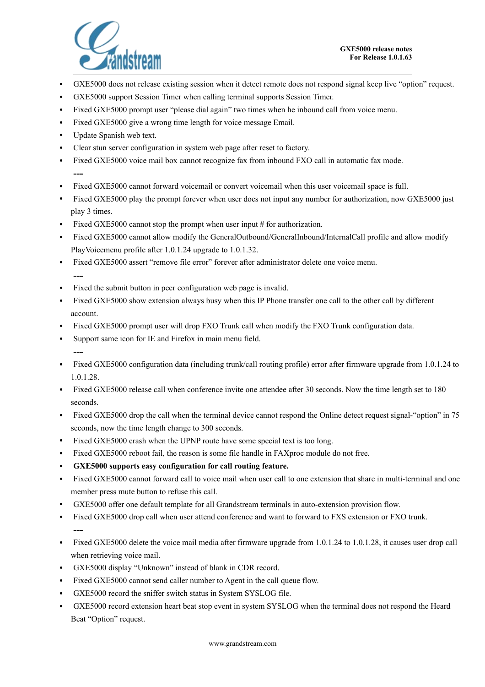

- GXE5000 does not release existing session when it detect remote does not respond signal keep live "option" request.
- GXE5000 support Session Timer when calling terminal supports Session Timer.
- Fixed GXE5000 prompt user "please dial again" two times when he inbound call from voice menu.
- Fixed GXE5000 give a wrong time length for voice message Email.
- Update Spanish web text.
- Clear stun server configuration in system web page after reset to factory.
- Fixed GXE5000 voice mail box cannot recognize fax from inbound FXO call in automatic fax mode. **---**
- Fixed GXE5000 cannot forward voicemail or convert voicemail when this user voicemail space is full.
- Fixed GXE5000 play the prompt forever when user does not input any number for authorization, now GXE5000 just play 3 times.
- Fixed GXE5000 cannot stop the prompt when user input # for authorization.
- Fixed GXE5000 cannot allow modify the GeneralOutbound/GeneralInbound/InternalCall profile and allow modify PlayVoicemenu profile after 1.0.1.24 upgrade to 1.0.1.32.
- Fixed GXE5000 assert "remove file error" forever after administrator delete one voice menu. **---**
- Fixed the submit button in peer configuration web page is invalid.
- Fixed GXE5000 show extension always busy when this IP Phone transfer one call to the other call by different account.
- Fixed GXE5000 prompt user will drop FXO Trunk call when modify the FXO Trunk configuration data.
- Support same icon for IE and Firefox in main menu field. **---**
- Fixed GXE5000 configuration data (including trunk/call routing profile) error after firmware upgrade from 1.0.1.24 to 1.0.1.28.
- Fixed GXE5000 release call when conference invite one attendee after 30 seconds. Now the time length set to 180 seconds.
- Fixed GXE5000 drop the call when the terminal device cannot respond the Online detect request signal-"option" in 75 seconds, now the time length change to 300 seconds.
- Fixed GXE5000 crash when the UPNP route have some special text is too long.
- Fixed GXE5000 reboot fail, the reason is some file handle in FAXproc module do not free.
- **GXE5000 supports easy configuration for call routing feature.**
- Fixed GXE5000 cannot forward call to voice mail when user call to one extension that share in multi-terminal and one member press mute button to refuse this call.
- GXE5000 offer one default template for all Grandstream terminals in auto-extension provision flow.
- Fixed GXE5000 drop call when user attend conference and want to forward to FXS extension or FXO trunk. **---**
- Fixed GXE5000 delete the voice mail media after firmware upgrade from 1.0.1.24 to 1.0.1.28, it causes user drop call when retrieving voice mail.
- GXE5000 display "Unknown" instead of blank in CDR record.
- Fixed GXE5000 cannot send caller number to Agent in the call queue flow.
- GXE5000 record the sniffer switch status in System SYSLOG file.
- GXE5000 record extension heart beat stop event in system SYSLOG when the terminal does not respond the Heard Beat "Option" request.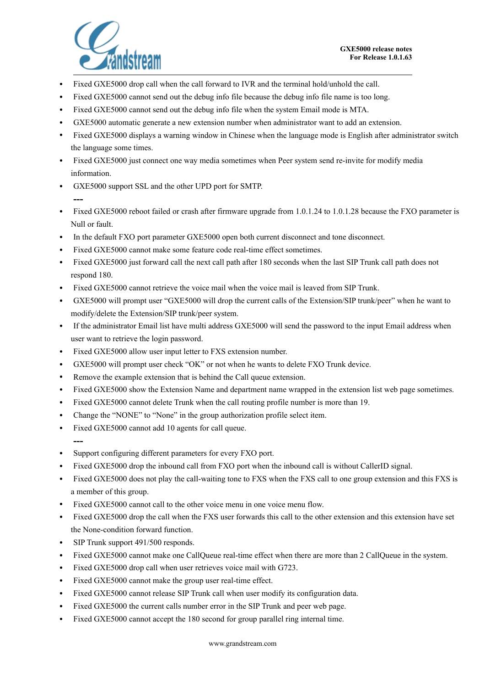

- Fixed GXE5000 drop call when the call forward to IVR and the terminal hold/unhold the call.
- Fixed GXE5000 cannot send out the debug info file because the debug info file name is too long.
- Fixed GXE5000 cannot send out the debug info file when the system Email mode is MTA.
- GXE5000 automatic generate a new extension number when administrator want to add an extension.
- Fixed GXE5000 displays a warning window in Chinese when the language mode is English after administrator switch the language some times.
- Fixed GXE5000 just connect one way media sometimes when Peer system send re-invite for modify media information.
- GXE5000 support SSL and the other UPD port for SMTP.
- Fixed GXE5000 reboot failed or crash after firmware upgrade from 1.0.1.24 to 1.0.1.28 because the FXO parameter is Null or fault.
- In the default FXO port parameter GXE5000 open both current disconnect and tone disconnect.
- Fixed GXE5000 cannot make some feature code real-time effect sometimes.
- Fixed GXE5000 just forward call the next call path after 180 seconds when the last SIP Trunk call path does not respond 180.
- Fixed GXE5000 cannot retrieve the voice mail when the voice mail is leaved from SIP Trunk.
- GXE5000 will prompt user "GXE5000 will drop the current calls of the Extension/SIP trunk/peer" when he want to modify/delete the Extension/SIP trunk/peer system.
- If the administrator Email list have multi address GXE5000 will send the password to the input Email address when user want to retrieve the login password.
- Fixed GXE5000 allow user input letter to FXS extension number.
- GXE5000 will prompt user check "OK" or not when he wants to delete FXO Trunk device.
- Remove the example extension that is behind the Call queue extension.
- Fixed GXE5000 show the Extension Name and department name wrapped in the extension list web page sometimes.
- Fixed GXE5000 cannot delete Trunk when the call routing profile number is more than 19.
- Change the "NONE" to "None" in the group authorization profile select item.
- Fixed GXE5000 cannot add 10 agents for call queue.
- **---**

- Support configuring different parameters for every FXO port.
- Fixed GXE5000 drop the inbound call from FXO port when the inbound call is without CallerID signal.
- Fixed GXE5000 does not play the call-waiting tone to FXS when the FXS call to one group extension and this FXS is a member of this group.
- Fixed GXE5000 cannot call to the other voice menu in one voice menu flow.
- Fixed GXE5000 drop the call when the FXS user forwards this call to the other extension and this extension have set the None-condition forward function.
- SIP Trunk support 491/500 responds.
- Fixed GXE5000 cannot make one CallQueue real-time effect when there are more than 2 CallQueue in the system.
- Fixed GXE5000 drop call when user retrieves voice mail with G723.
- Fixed GXE5000 cannot make the group user real-time effect.
- Fixed GXE5000 cannot release SIP Trunk call when user modify its configuration data.
- Fixed GXE5000 the current calls number error in the SIP Trunk and peer web page.
- Fixed GXE5000 cannot accept the 180 second for group parallel ring internal time.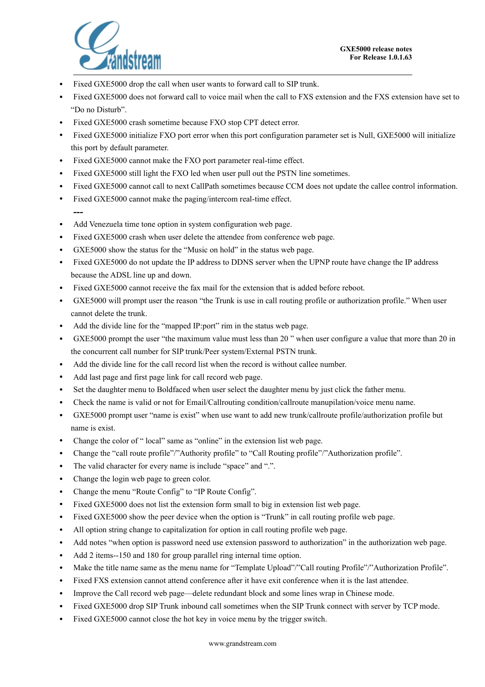

- Fixed GXE5000 drop the call when user wants to forward call to SIP trunk.
- Fixed GXE5000 does not forward call to voice mail when the call to FXS extension and the FXS extension have set to "Do no Disturb".
- Fixed GXE5000 crash sometime because FXO stop CPT detect error.
- Fixed GXE5000 initialize FXO port error when this port configuration parameter set is Null, GXE5000 will initialize this port by default parameter.
- Fixed GXE5000 cannot make the FXO port parameter real-time effect.
- Fixed GXE5000 still light the FXO led when user pull out the PSTN line sometimes.
- Fixed GXE5000 cannot call to next CallPath sometimes because CCM does not update the callee control information.
- Fixed GXE5000 cannot make the paging/intercom real-time effect.
- **---** • Add Venezuela time tone option in system configuration web page.
- Fixed GXE5000 crash when user delete the attendee from conference web page.
- GXE5000 show the status for the "Music on hold" in the status web page.
- Fixed GXE5000 do not update the IP address to DDNS server when the UPNP route have change the IP address because the ADSL line up and down.
- Fixed GXE5000 cannot receive the fax mail for the extension that is added before reboot.
- GXE5000 will prompt user the reason "the Trunk is use in call routing profile or authorization profile." When user cannot delete the trunk.
- Add the divide line for the "mapped IP:port" rim in the status web page.
- GXE5000 prompt the user "the maximum value must less than 20" when user configure a value that more than 20 in the concurrent call number for SIP trunk/Peer system/External PSTN trunk.
- Add the divide line for the call record list when the record is without callee number.
- Add last page and first page link for call record web page.
- Set the daughter menu to Boldfaced when user select the daughter menu by just click the father menu.
- Check the name is valid or not for Email/Callrouting condition/callroute manupilation/voice menu name.
- GXE5000 prompt user "name is exist" when use want to add new trunk/callroute profile/authorization profile but name is exist.
- Change the color of " local" same as "online" in the extension list web page.
- Change the "call route profile"/"Authority profile" to "Call Routing profile"/"Authorization profile".
- The valid character for every name is include "space" and ".".
- Change the login web page to green color.
- Change the menu "Route Config" to "IP Route Config".
- Fixed GXE5000 does not list the extension form small to big in extension list web page.
- Fixed GXE5000 show the peer device when the option is "Trunk" in call routing profile web page.
- All option string change to capitalization for option in call routing profile web page.
- Add notes "when option is password need use extension password to authorization" in the authorization web page.
- Add 2 items--150 and 180 for group parallel ring internal time option.
- Make the title name same as the menu name for "Template Upload"/"Call routing Profile"/"Authorization Profile".
- Fixed FXS extension cannot attend conference after it have exit conference when it is the last attendee.
- Improve the Call record web page—delete redundant block and some lines wrap in Chinese mode.
- Fixed GXE5000 drop SIP Trunk inbound call sometimes when the SIP Trunk connect with server by TCP mode.
- Fixed GXE5000 cannot close the hot key in voice menu by the trigger switch.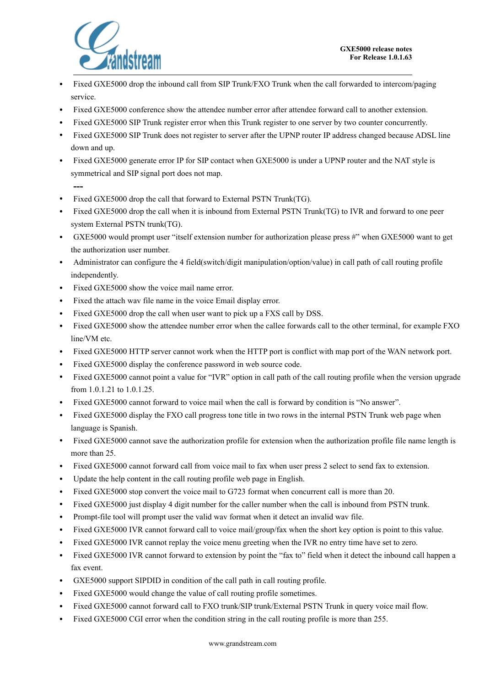

- Fixed GXE5000 drop the inbound call from SIP Trunk/FXO Trunk when the call forwarded to intercom/paging service.
- Fixed GXE5000 conference show the attendee number error after attendee forward call to another extension.
- Fixed GXE5000 SIP Trunk register error when this Trunk register to one server by two counter concurrently.
- Fixed GXE5000 SIP Trunk does not register to server after the UPNP router IP address changed because ADSL line down and up.
- Fixed GXE5000 generate error IP for SIP contact when GXE5000 is under a UPNP router and the NAT style is symmetrical and SIP signal port does not map.
	- **---**
- Fixed GXE5000 drop the call that forward to External PSTN Trunk(TG).
- Fixed GXE5000 drop the call when it is inbound from External PSTN Trunk(TG) to IVR and forward to one peer system External PSTN trunk(TG).
- GXE5000 would prompt user "itself extension number for authorization please press #" when GXE5000 want to get the authorization user number.
- Administrator can configure the 4 field(switch/digit manipulation/option/value) in call path of call routing profile independently.
- Fixed GXE5000 show the voice mail name error.
- Fixed the attach wav file name in the voice Email display error.
- Fixed GXE5000 drop the call when user want to pick up a FXS call by DSS.
- Fixed GXE5000 show the attendee number error when the callee forwards call to the other terminal, for example FXO line/VM etc.
- Fixed GXE5000 HTTP server cannot work when the HTTP port is conflict with map port of the WAN network port.
- Fixed GXE5000 display the conference password in web source code.
- Fixed GXE5000 cannot point a value for "IVR" option in call path of the call routing profile when the version upgrade from 1.0.1.21 to 1.0.1.25.
- Fixed GXE5000 cannot forward to voice mail when the call is forward by condition is "No answer".
- Fixed GXE5000 display the FXO call progress tone title in two rows in the internal PSTN Trunk web page when language is Spanish.
- Fixed GXE5000 cannot save the authorization profile for extension when the authorization profile file name length is more than 25.
- Fixed GXE5000 cannot forward call from voice mail to fax when user press 2 select to send fax to extension.
- Update the help content in the call routing profile web page in English.
- Fixed GXE5000 stop convert the voice mail to G723 format when concurrent call is more than 20.
- Fixed GXE5000 just display 4 digit number for the caller number when the call is inbound from PSTN trunk.
- Prompt-file tool will prompt user the valid wav format when it detect an invalid wav file.
- Fixed GXE5000 IVR cannot forward call to voice mail/group/fax when the short key option is point to this value.
- Fixed GXE5000 IVR cannot replay the voice menu greeting when the IVR no entry time have set to zero.
- Fixed GXE5000 IVR cannot forward to extension by point the "fax to" field when it detect the inbound call happen a fax event.
- GXE5000 support SIPDID in condition of the call path in call routing profile.
- Fixed GXE5000 would change the value of call routing profile sometimes.
- Fixed GXE5000 cannot forward call to FXO trunk/SIP trunk/External PSTN Trunk in query voice mail flow.
- Fixed GXE5000 CGI error when the condition string in the call routing profile is more than 255.